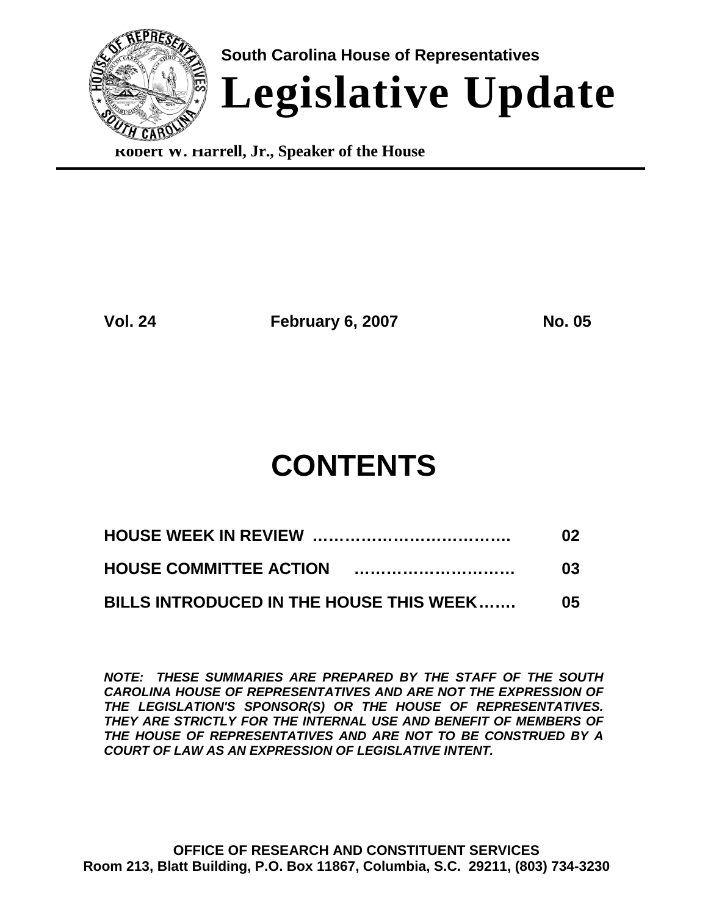

**Robert W. Harrell, Jr., Speaker of the House**

**Vol. 24 February 6, 2007 No. 05**

# **CONTENTS**

|                                         | 02  |
|-----------------------------------------|-----|
|                                         | 03  |
| BILLS INTRODUCED IN THE HOUSE THIS WEEK | O5. |

*NOTE: THESE SUMMARIES ARE PREPARED BY THE STAFF OF THE SOUTH CAROLINA HOUSE OF REPRESENTATIVES AND ARE NOT THE EXPRESSION OF THE LEGISLATION'S SPONSOR(S) OR THE HOUSE OF REPRESENTATIVES. THEY ARE STRICTLY FOR THE INTERNAL USE AND BENEFIT OF MEMBERS OF THE HOUSE OF REPRESENTATIVES AND ARE NOT TO BE CONSTRUED BY A COURT OF LAW AS AN EXPRESSION OF LEGISLATIVE INTENT.*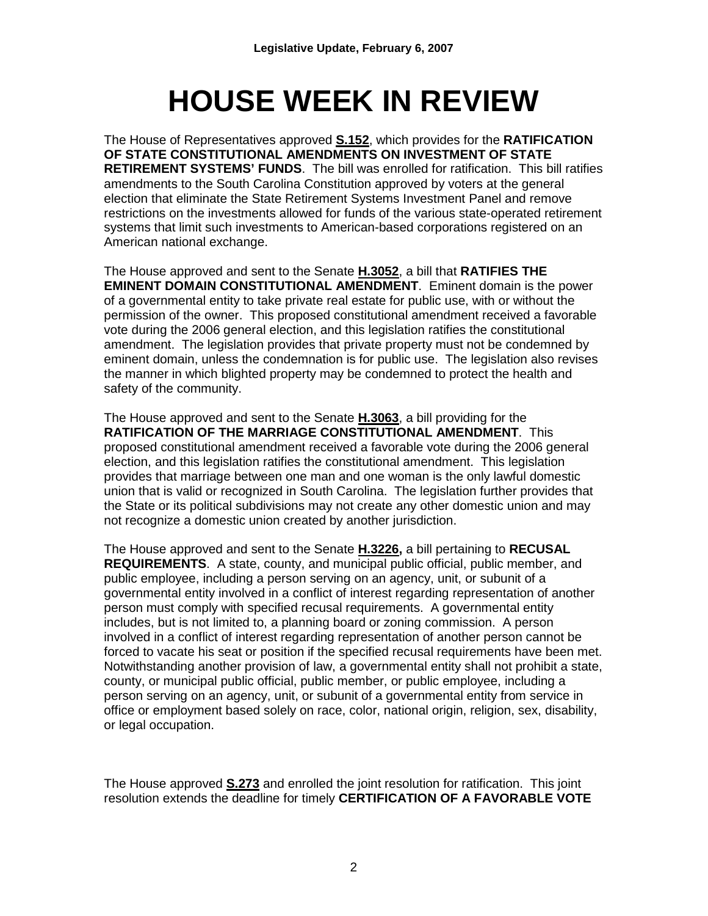# **HOUSE WEEK IN REVIEW**

The House of Representatives approved **S.152**, which provides for the **RATIFICATION OF STATE CONSTITUTIONAL AMENDMENTS ON INVESTMENT OF STATE RETIREMENT SYSTEMS' FUNDS**. The bill was enrolled for ratification. This bill ratifies amendments to the South Carolina Constitution approved by voters at the general election that eliminate the State Retirement Systems Investment Panel and remove restrictions on the investments allowed for funds of the various state-operated retirement systems that limit such investments to American-based corporations registered on an American national exchange.

The House approved and sent to the Senate **H.3052**, a bill that **RATIFIES THE EMINENT DOMAIN CONSTITUTIONAL AMENDMENT**. Eminent domain is the power of a governmental entity to take private real estate for public use, with or without the permission of the owner. This proposed constitutional amendment received a favorable vote during the 2006 general election, and this legislation ratifies the constitutional amendment. The legislation provides that private property must not be condemned by eminent domain, unless the condemnation is for public use. The legislation also revises the manner in which blighted property may be condemned to protect the health and safety of the community.

The House approved and sent to the Senate **H.3063**, a bill providing for the **RATIFICATION OF THE MARRIAGE CONSTITUTIONAL AMENDMENT**. This proposed constitutional amendment received a favorable vote during the 2006 general election, and this legislation ratifies the constitutional amendment. This legislation provides that marriage between one man and one woman is the only lawful domestic union that is valid or recognized in South Carolina. The legislation further provides that the State or its political subdivisions may not create any other domestic union and may not recognize a domestic union created by another jurisdiction.

The House approved and sent to the Senate **H.3226,** a bill pertaining to **RECUSAL REQUIREMENTS**. A state, county, and municipal public official, public member, and public employee, including a person serving on an agency, unit, or subunit of a governmental entity involved in a conflict of interest regarding representation of another person must comply with specified recusal requirements. A governmental entity includes, but is not limited to, a planning board or zoning commission. A person involved in a conflict of interest regarding representation of another person cannot be forced to vacate his seat or position if the specified recusal requirements have been met. Notwithstanding another provision of law, a governmental entity shall not prohibit a state, county, or municipal public official, public member, or public employee, including a person serving on an agency, unit, or subunit of a governmental entity from service in office or employment based solely on race, color, national origin, religion, sex, disability, or legal occupation.

The House approved **S.273** and enrolled the joint resolution for ratification. This joint resolution extends the deadline for timely **CERTIFICATION OF A FAVORABLE VOTE**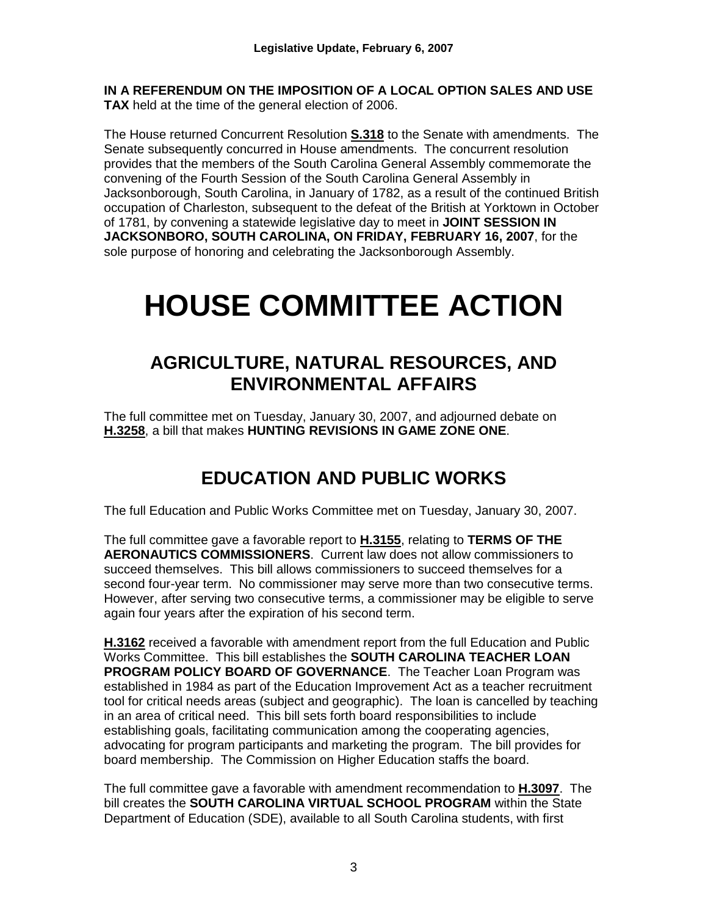**IN A REFERENDUM ON THE IMPOSITION OF A LOCAL OPTION SALES AND USE TAX** held at the time of the general election of 2006.

The House returned Concurrent Resolution **S.318** to the Senate with amendments. The Senate subsequently concurred in House amendments. The concurrent resolution provides that the members of the South Carolina General Assembly commemorate the convening of the Fourth Session of the South Carolina General Assembly in Jacksonborough, South Carolina, in January of 1782, as a result of the continued British occupation of Charleston, subsequent to the defeat of the British at Yorktown in October of 1781, by convening a statewide legislative day to meet in **JOINT SESSION IN JACKSONBORO, SOUTH CAROLINA, ON FRIDAY, FEBRUARY 16, 2007**, for the sole purpose of honoring and celebrating the Jacksonborough Assembly.

# **HOUSE COMMITTEE ACTION**

# **AGRICULTURE, NATURAL RESOURCES, AND ENVIRONMENTAL AFFAIRS**

The full committee met on Tuesday, January 30, 2007, and adjourned debate on **H.3258**, a bill that makes **HUNTING REVISIONS IN GAME ZONE ONE**.

# **EDUCATION AND PUBLIC WORKS**

The full Education and Public Works Committee met on Tuesday, January 30, 2007.

The full committee gave a favorable report to **H.3155**, relating to **TERMS OF THE AERONAUTICS COMMISSIONERS**. Current law does not allow commissioners to succeed themselves. This bill allows commissioners to succeed themselves for a second four-year term. No commissioner may serve more than two consecutive terms. However, after serving two consecutive terms, a commissioner may be eligible to serve again four years after the expiration of his second term.

**H.3162** received a favorable with amendment report from the full Education and Public Works Committee. This bill establishes the **SOUTH CAROLINA TEACHER LOAN PROGRAM POLICY BOARD OF GOVERNANCE**. The Teacher Loan Program was established in 1984 as part of the Education Improvement Act as a teacher recruitment tool for critical needs areas (subject and geographic). The loan is cancelled by teaching in an area of critical need. This bill sets forth board responsibilities to include establishing goals, facilitating communication among the cooperating agencies, advocating for program participants and marketing the program. The bill provides for board membership. The Commission on Higher Education staffs the board.

The full committee gave a favorable with amendment recommendation to **H.3097**. The bill creates the **SOUTH CAROLINA VIRTUAL SCHOOL PROGRAM** within the State Department of Education (SDE), available to all South Carolina students, with first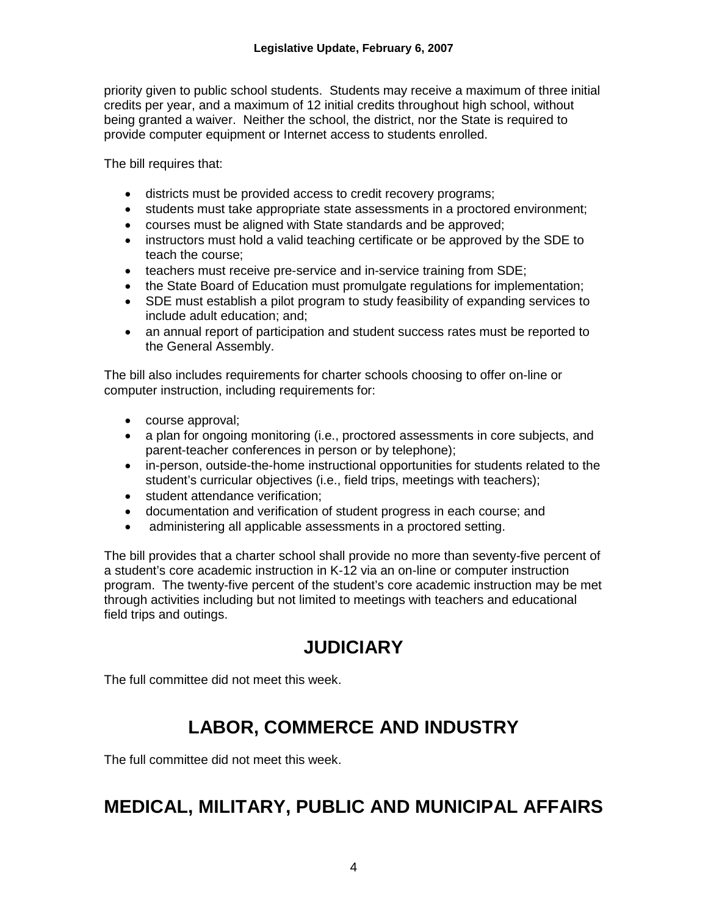priority given to public school students. Students may receive a maximum of three initial credits per year, and a maximum of 12 initial credits throughout high school, without being granted a waiver. Neither the school, the district, nor the State is required to provide computer equipment or Internet access to students enrolled.

The bill requires that:

- districts must be provided access to credit recovery programs;
- students must take appropriate state assessments in a proctored environment;
- courses must be aligned with State standards and be approved;
- instructors must hold a valid teaching certificate or be approved by the SDE to teach the course;
- teachers must receive pre-service and in-service training from SDE;
- the State Board of Education must promulgate regulations for implementation;
- SDE must establish a pilot program to study feasibility of expanding services to include adult education; and;
- an annual report of participation and student success rates must be reported to the General Assembly.

The bill also includes requirements for charter schools choosing to offer on-line or computer instruction, including requirements for:

- course approval;
- a plan for ongoing monitoring (i.e., proctored assessments in core subjects, and parent-teacher conferences in person or by telephone);
- in-person, outside-the-home instructional opportunities for students related to the student's curricular objectives (i.e., field trips, meetings with teachers);
- student attendance verification;
- documentation and verification of student progress in each course; and
- administering all applicable assessments in a proctored setting.

The bill provides that a charter school shall provide no more than seventy-five percent of a student's core academic instruction in K-12 via an on-line or computer instruction program. The twenty-five percent of the student's core academic instruction may be met through activities including but not limited to meetings with teachers and educational field trips and outings.

# **JUDICIARY**

The full committee did not meet this week.

# **LABOR, COMMERCE AND INDUSTRY**

The full committee did not meet this week.

# **MEDICAL, MILITARY, PUBLIC AND MUNICIPAL AFFAIRS**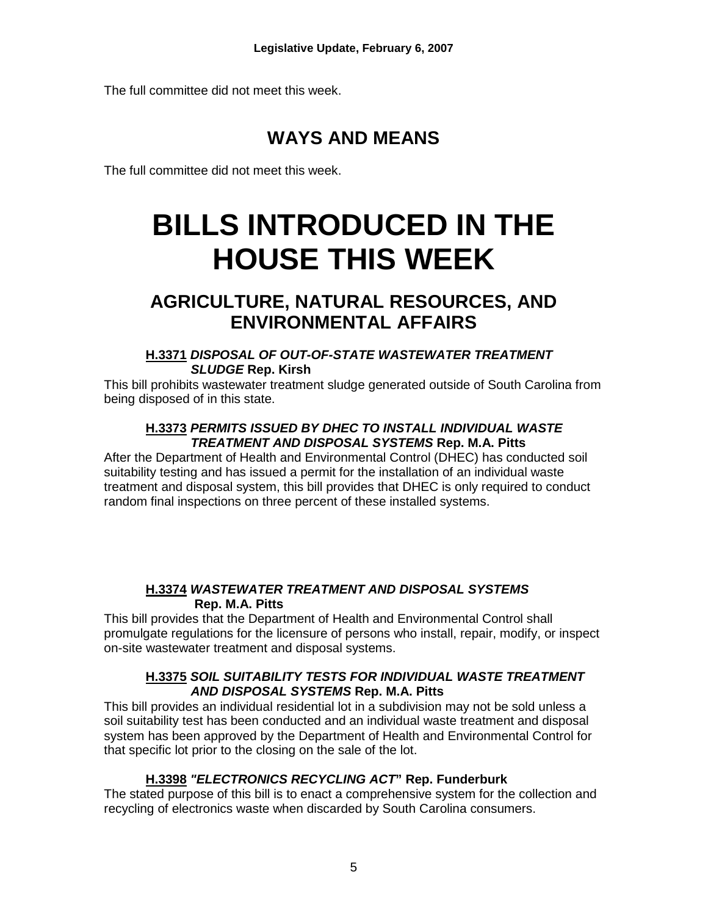The full committee did not meet this week.

# **WAYS AND MEANS**

The full committee did not meet this week.

# **BILLS INTRODUCED IN THE HOUSE THIS WEEK**

# **AGRICULTURE, NATURAL RESOURCES, AND ENVIRONMENTAL AFFAIRS**

#### **H.3371** *DISPOSAL OF OUT-OF-STATE WASTEWATER TREATMENT SLUDGE* **Rep. Kirsh**

This bill prohibits wastewater treatment sludge generated outside of South Carolina from being disposed of in this state.

#### **H.3373** *PERMITS ISSUED BY DHEC TO INSTALL INDIVIDUAL WASTE TREATMENT AND DISPOSAL SYSTEMS* **Rep. M.A. Pitts**

After the Department of Health and Environmental Control (DHEC) has conducted soil suitability testing and has issued a permit for the installation of an individual waste treatment and disposal system, this bill provides that DHEC is only required to conduct random final inspections on three percent of these installed systems.

### **H.3374** *WASTEWATER TREATMENT AND DISPOSAL SYSTEMS* **Rep. M.A. Pitts**

This bill provides that the Department of Health and Environmental Control shall promulgate regulations for the licensure of persons who install, repair, modify, or inspect on-site wastewater treatment and disposal systems.

#### **H.3375** *SOIL SUITABILITY TESTS FOR INDIVIDUAL WASTE TREATMENT AND DISPOSAL SYSTEMS* **Rep. M.A. Pitts**

This bill provides an individual residential lot in a subdivision may not be sold unless a soil suitability test has been conducted and an individual waste treatment and disposal system has been approved by the Department of Health and Environmental Control for that specific lot prior to the closing on the sale of the lot.

# **H.3398** *"ELECTRONICS RECYCLING ACT***" Rep. Funderburk**

The stated purpose of this bill is to enact a comprehensive system for the collection and recycling of electronics waste when discarded by South Carolina consumers.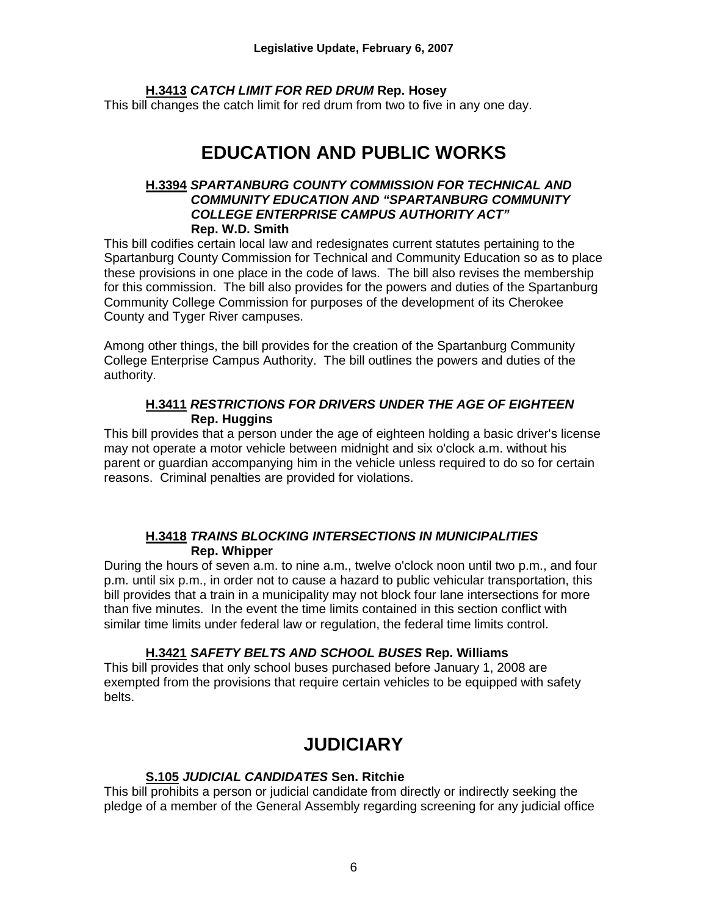### **H.3413** *CATCH LIMIT FOR RED DRUM* **Rep. Hosey**

This bill changes the catch limit for red drum from two to five in any one day.

# **EDUCATION AND PUBLIC WORKS**

#### **H.3394** *SPARTANBURG COUNTY COMMISSION FOR TECHNICAL AND COMMUNITY EDUCATION AND "SPARTANBURG COMMUNITY COLLEGE ENTERPRISE CAMPUS AUTHORITY ACT"*  **Rep. W.D. Smith**

This bill codifies certain local law and redesignates current statutes pertaining to the Spartanburg County Commission for Technical and Community Education so as to place these provisions in one place in the code of laws. The bill also revises the membership for this commission. The bill also provides for the powers and duties of the Spartanburg Community College Commission for purposes of the development of its Cherokee County and Tyger River campuses.

Among other things, the bill provides for the creation of the Spartanburg Community College Enterprise Campus Authority. The bill outlines the powers and duties of the authority.

### **H.3411** *RESTRICTIONS FOR DRIVERS UNDER THE AGE OF EIGHTEEN*  **Rep. Huggins**

This bill provides that a person under the age of eighteen holding a basic driver's license may not operate a motor vehicle between midnight and six o'clock a.m. without his parent or guardian accompanying him in the vehicle unless required to do so for certain reasons. Criminal penalties are provided for violations.

#### **H.3418** *TRAINS BLOCKING INTERSECTIONS IN MUNICIPALITIES*  **Rep. Whipper**

During the hours of seven a.m. to nine a.m., twelve o'clock noon until two p.m., and four p.m. until six p.m., in order not to cause a hazard to public vehicular transportation, this bill provides that a train in a municipality may not block four lane intersections for more than five minutes. In the event the time limits contained in this section conflict with similar time limits under federal law or regulation, the federal time limits control.

# **H.3421** *SAFETY BELTS AND SCHOOL BUSES* **Rep. Williams**

This bill provides that only school buses purchased before January 1, 2008 are exempted from the provisions that require certain vehicles to be equipped with safety belts.

# **JUDICIARY**

# **S.105** *JUDICIAL CANDIDATES* **Sen. Ritchie**

This bill prohibits a person or judicial candidate from directly or indirectly seeking the pledge of a member of the General Assembly regarding screening for any judicial office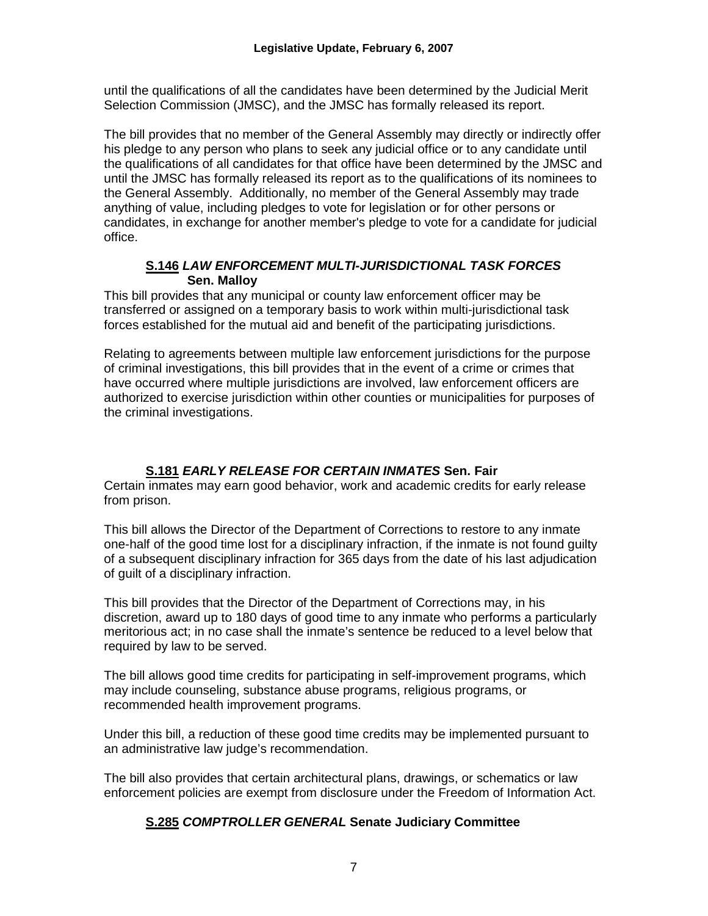until the qualifications of all the candidates have been determined by the Judicial Merit Selection Commission (JMSC), and the JMSC has formally released its report.

The bill provides that no member of the General Assembly may directly or indirectly offer his pledge to any person who plans to seek any judicial office or to any candidate until the qualifications of all candidates for that office have been determined by the JMSC and until the JMSC has formally released its report as to the qualifications of its nominees to the General Assembly. Additionally, no member of the General Assembly may trade anything of value, including pledges to vote for legislation or for other persons or candidates, in exchange for another member's pledge to vote for a candidate for judicial office.

#### **S.146** *LAW ENFORCEMENT MULTI-JURISDICTIONAL TASK FORCES*  **Sen. Malloy**

This bill provides that any municipal or county law enforcement officer may be transferred or assigned on a temporary basis to work within multi-jurisdictional task forces established for the mutual aid and benefit of the participating jurisdictions.

Relating to agreements between multiple law enforcement jurisdictions for the purpose of criminal investigations, this bill provides that in the event of a crime or crimes that have occurred where multiple jurisdictions are involved, law enforcement officers are authorized to exercise jurisdiction within other counties or municipalities for purposes of the criminal investigations.

# **S.181** *EARLY RELEASE FOR CERTAIN INMATES* **Sen. Fair**

Certain inmates may earn good behavior, work and academic credits for early release from prison.

This bill allows the Director of the Department of Corrections to restore to any inmate one-half of the good time lost for a disciplinary infraction, if the inmate is not found guilty of a subsequent disciplinary infraction for 365 days from the date of his last adjudication of guilt of a disciplinary infraction.

This bill provides that the Director of the Department of Corrections may, in his discretion, award up to 180 days of good time to any inmate who performs a particularly meritorious act; in no case shall the inmate's sentence be reduced to a level below that required by law to be served.

The bill allows good time credits for participating in self-improvement programs, which may include counseling, substance abuse programs, religious programs, or recommended health improvement programs.

Under this bill, a reduction of these good time credits may be implemented pursuant to an administrative law judge's recommendation.

The bill also provides that certain architectural plans, drawings, or schematics or law enforcement policies are exempt from disclosure under the Freedom of Information Act.

# **S.285** *COMPTROLLER GENERAL* **Senate Judiciary Committee**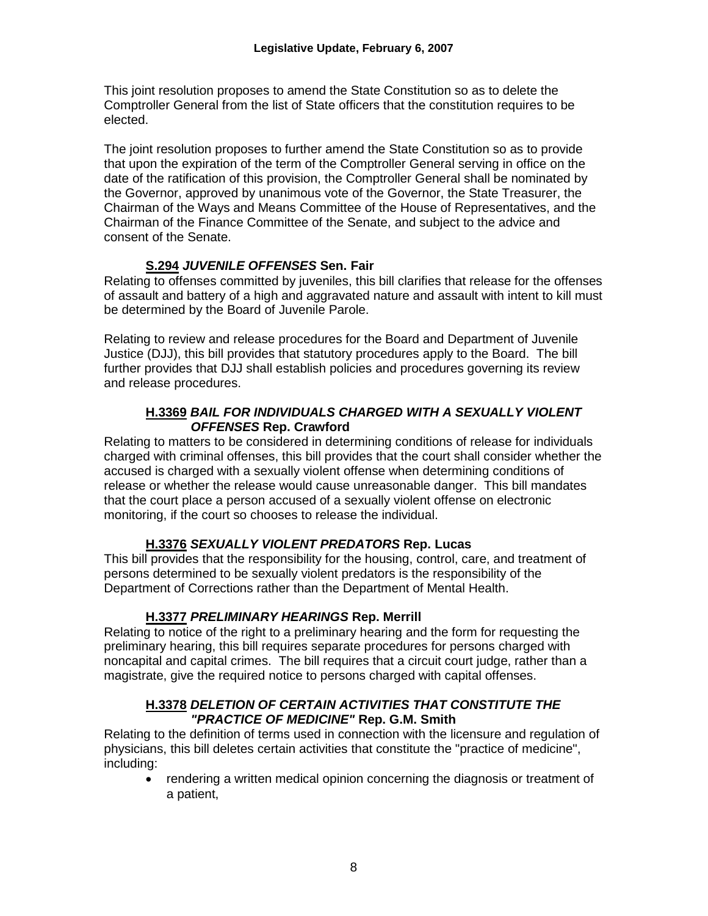This joint resolution proposes to amend the State Constitution so as to delete the Comptroller General from the list of State officers that the constitution requires to be elected.

The joint resolution proposes to further amend the State Constitution so as to provide that upon the expiration of the term of the Comptroller General serving in office on the date of the ratification of this provision, the Comptroller General shall be nominated by the Governor, approved by unanimous vote of the Governor, the State Treasurer, the Chairman of the Ways and Means Committee of the House of Representatives, and the Chairman of the Finance Committee of the Senate, and subject to the advice and consent of the Senate.

### **S.294** *JUVENILE OFFENSES* **Sen. Fair**

Relating to offenses committed by juveniles, this bill clarifies that release for the offenses of assault and battery of a high and aggravated nature and assault with intent to kill must be determined by the Board of Juvenile Parole.

Relating to review and release procedures for the Board and Department of Juvenile Justice (DJJ), this bill provides that statutory procedures apply to the Board. The bill further provides that DJJ shall establish policies and procedures governing its review and release procedures.

#### **H.3369** *BAIL FOR INDIVIDUALS CHARGED WITH A SEXUALLY VIOLENT OFFENSES* **Rep. Crawford**

Relating to matters to be considered in determining conditions of release for individuals charged with criminal offenses, this bill provides that the court shall consider whether the accused is charged with a sexually violent offense when determining conditions of release or whether the release would cause unreasonable danger. This bill mandates that the court place a person accused of a sexually violent offense on electronic monitoring, if the court so chooses to release the individual.

# **H.3376** *SEXUALLY VIOLENT PREDATORS* **Rep. Lucas**

This bill provides that the responsibility for the housing, control, care, and treatment of persons determined to be sexually violent predators is the responsibility of the Department of Corrections rather than the Department of Mental Health.

# **H.3377** *PRELIMINARY HEARINGS* **Rep. Merrill**

Relating to notice of the right to a preliminary hearing and the form for requesting the preliminary hearing, this bill requires separate procedures for persons charged with noncapital and capital crimes. The bill requires that a circuit court judge, rather than a magistrate, give the required notice to persons charged with capital offenses.

#### **H.3378** *DELETION OF CERTAIN ACTIVITIES THAT CONSTITUTE THE "PRACTICE OF MEDICINE"* **Rep. G.M. Smith**

Relating to the definition of terms used in connection with the licensure and regulation of physicians, this bill deletes certain activities that constitute the "practice of medicine", including:

• rendering a written medical opinion concerning the diagnosis or treatment of a patient,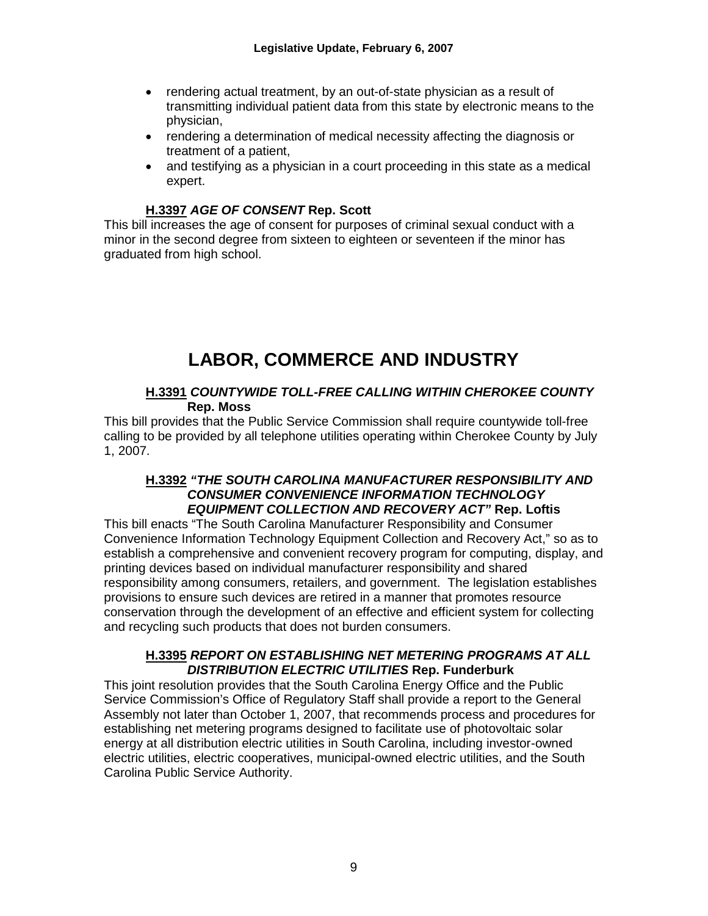- rendering actual treatment, by an out-of-state physician as a result of transmitting individual patient data from this state by electronic means to the physician,
- rendering a determination of medical necessity affecting the diagnosis or treatment of a patient,
- and testifying as a physician in a court proceeding in this state as a medical expert.

### **H.3397** *AGE OF CONSENT* **Rep. Scott**

This bill increases the age of consent for purposes of criminal sexual conduct with a minor in the second degree from sixteen to eighteen or seventeen if the minor has graduated from high school.

# **LABOR, COMMERCE AND INDUSTRY**

#### **H.3391** *COUNTYWIDE TOLL-FREE CALLING WITHIN CHEROKEE COUNTY* **Rep. Moss**

This bill provides that the Public Service Commission shall require countywide toll-free calling to be provided by all telephone utilities operating within Cherokee County by July 1, 2007.

#### **H.3392** *"THE SOUTH CAROLINA MANUFACTURER RESPONSIBILITY AND CONSUMER CONVENIENCE INFORMATION TECHNOLOGY EQUIPMENT COLLECTION AND RECOVERY ACT"* **Rep. Loftis**

This bill enacts "The South Carolina Manufacturer Responsibility and Consumer Convenience Information Technology Equipment Collection and Recovery Act," so as to establish a comprehensive and convenient recovery program for computing, display, and printing devices based on individual manufacturer responsibility and shared responsibility among consumers, retailers, and government. The legislation establishes provisions to ensure such devices are retired in a manner that promotes resource conservation through the development of an effective and efficient system for collecting and recycling such products that does not burden consumers.

#### **H.3395** *REPORT ON ESTABLISHING NET METERING PROGRAMS AT ALL DISTRIBUTION ELECTRIC UTILITIES* **Rep. Funderburk**

This joint resolution provides that the South Carolina Energy Office and the Public Service Commission's Office of Regulatory Staff shall provide a report to the General Assembly not later than October 1, 2007, that recommends process and procedures for establishing net metering programs designed to facilitate use of photovoltaic solar energy at all distribution electric utilities in South Carolina, including investor-owned electric utilities, electric cooperatives, municipal-owned electric utilities, and the South Carolina Public Service Authority.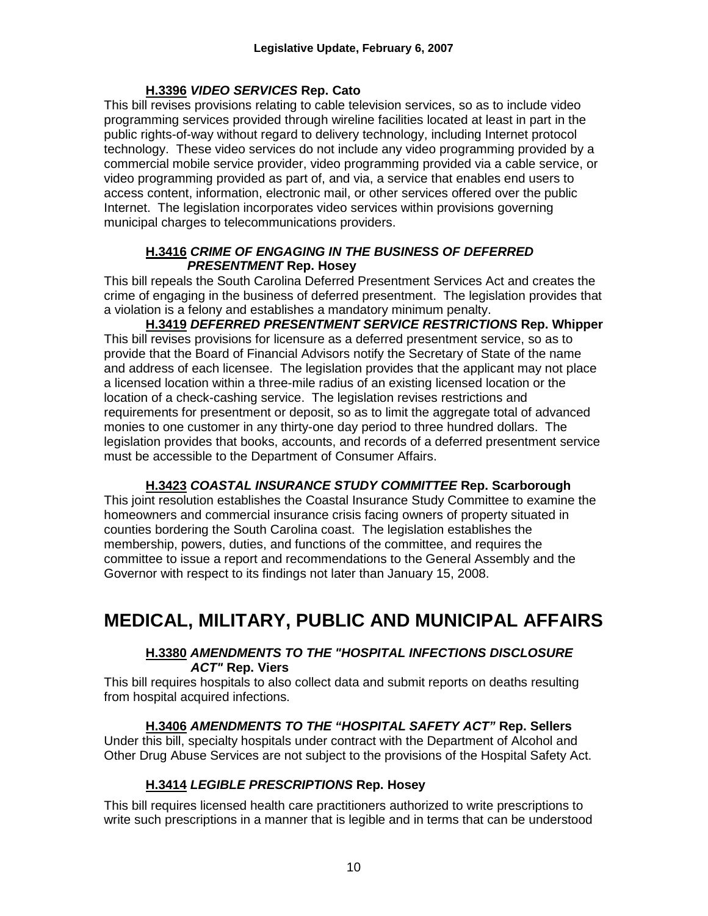#### **H.3396** *VIDEO SERVICES* **Rep. Cato**

This bill revises provisions relating to cable television services, so as to include video programming services provided through wireline facilities located at least in part in the public rights-of-way without regard to delivery technology, including Internet protocol technology. These video services do not include any video programming provided by a commercial mobile service provider, video programming provided via a cable service, or video programming provided as part of, and via, a service that enables end users to access content, information, electronic mail, or other services offered over the public Internet. The legislation incorporates video services within provisions governing municipal charges to telecommunications providers.

#### **H.3416** *CRIME OF ENGAGING IN THE BUSINESS OF DEFERRED PRESENTMENT* **Rep. Hosey**

This bill repeals the South Carolina Deferred Presentment Services Act and creates the crime of engaging in the business of deferred presentment. The legislation provides that a violation is a felony and establishes a mandatory minimum penalty.

**H.3419** *DEFERRED PRESENTMENT SERVICE RESTRICTIONS* **Rep. Whipper** This bill revises provisions for licensure as a deferred presentment service, so as to provide that the Board of Financial Advisors notify the Secretary of State of the name and address of each licensee. The legislation provides that the applicant may not place a licensed location within a three-mile radius of an existing licensed location or the location of a check-cashing service. The legislation revises restrictions and requirements for presentment or deposit, so as to limit the aggregate total of advanced monies to one customer in any thirty-one day period to three hundred dollars. The legislation provides that books, accounts, and records of a deferred presentment service must be accessible to the Department of Consumer Affairs.

#### **H.3423** *COASTAL INSURANCE STUDY COMMITTEE* **Rep. Scarborough**

This joint resolution establishes the Coastal Insurance Study Committee to examine the homeowners and commercial insurance crisis facing owners of property situated in counties bordering the South Carolina coast. The legislation establishes the membership, powers, duties, and functions of the committee, and requires the committee to issue a report and recommendations to the General Assembly and the Governor with respect to its findings not later than January 15, 2008.

# **MEDICAL, MILITARY, PUBLIC AND MUNICIPAL AFFAIRS**

### **H.3380** *AMENDMENTS TO THE "HOSPITAL INFECTIONS DISCLOSURE ACT"* **Rep. Viers**

This bill requires hospitals to also collect data and submit reports on deaths resulting from hospital acquired infections.

# **H.3406** *AMENDMENTS TO THE "HOSPITAL SAFETY ACT"* **Rep. Sellers**

Under this bill, specialty hospitals under contract with the Department of Alcohol and Other Drug Abuse Services are not subject to the provisions of the Hospital Safety Act.

# **H.3414** *LEGIBLE PRESCRIPTIONS* **Rep. Hosey**

This bill requires licensed health care practitioners authorized to write prescriptions to write such prescriptions in a manner that is legible and in terms that can be understood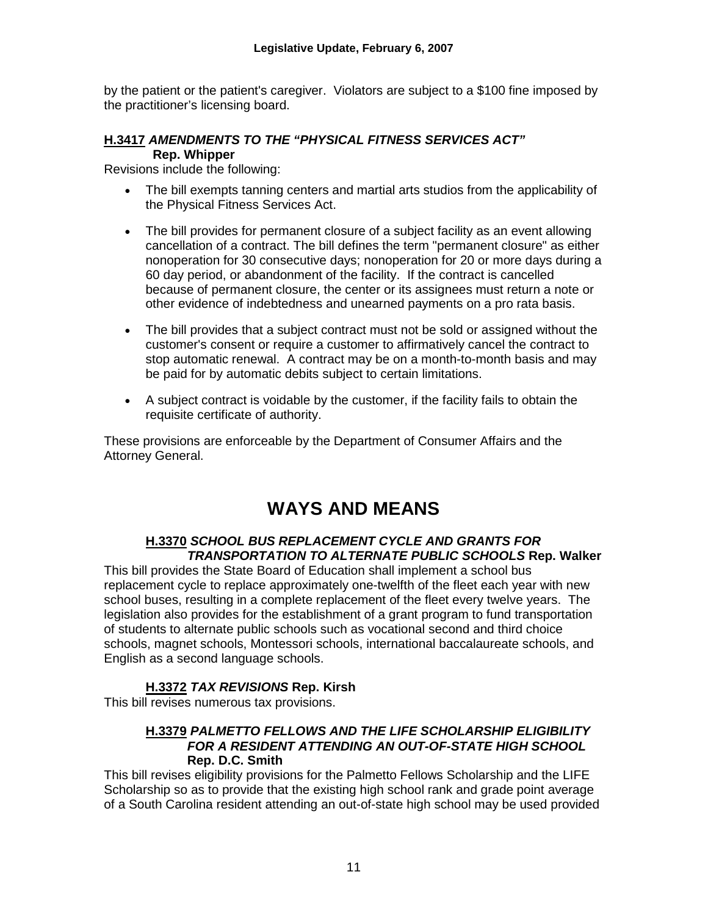by the patient or the patient's caregiver. Violators are subject to a \$100 fine imposed by the practitioner's licensing board.

#### **H.3417** *AMENDMENTS TO THE "PHYSICAL FITNESS SERVICES ACT"*  **Rep. Whipper**

Revisions include the following:

- The bill exempts tanning centers and martial arts studios from the applicability of the Physical Fitness Services Act.
- The bill provides for permanent closure of a subject facility as an event allowing cancellation of a contract. The bill defines the term "permanent closure" as either nonoperation for 30 consecutive days; nonoperation for 20 or more days during a 60 day period, or abandonment of the facility. If the contract is cancelled because of permanent closure, the center or its assignees must return a note or other evidence of indebtedness and unearned payments on a pro rata basis.
- The bill provides that a subject contract must not be sold or assigned without the customer's consent or require a customer to affirmatively cancel the contract to stop automatic renewal. A contract may be on a month-to-month basis and may be paid for by automatic debits subject to certain limitations.
- A subject contract is voidable by the customer, if the facility fails to obtain the requisite certificate of authority.

These provisions are enforceable by the Department of Consumer Affairs and the Attorney General.

# **WAYS AND MEANS**

# **H.3370** *SCHOOL BUS REPLACEMENT CYCLE AND GRANTS FOR TRANSPORTATION TO ALTERNATE PUBLIC SCHOOLS* **Rep. Walker**

This bill provides the State Board of Education shall implement a school bus replacement cycle to replace approximately one-twelfth of the fleet each year with new school buses, resulting in a complete replacement of the fleet every twelve years. The legislation also provides for the establishment of a grant program to fund transportation of students to alternate public schools such as vocational second and third choice schools, magnet schools, Montessori schools, international baccalaureate schools, and English as a second language schools.

# **H.3372** *TAX REVISIONS* **Rep. Kirsh**

This bill revises numerous tax provisions.

# **H.3379** *PALMETTO FELLOWS AND THE LIFE SCHOLARSHIP ELIGIBILITY FOR A RESIDENT ATTENDING AN OUT-OF-STATE HIGH SCHOOL* **Rep. D.C. Smith**

This bill revises eligibility provisions for the Palmetto Fellows Scholarship and the LIFE Scholarship so as to provide that the existing high school rank and grade point average of a South Carolina resident attending an out-of-state high school may be used provided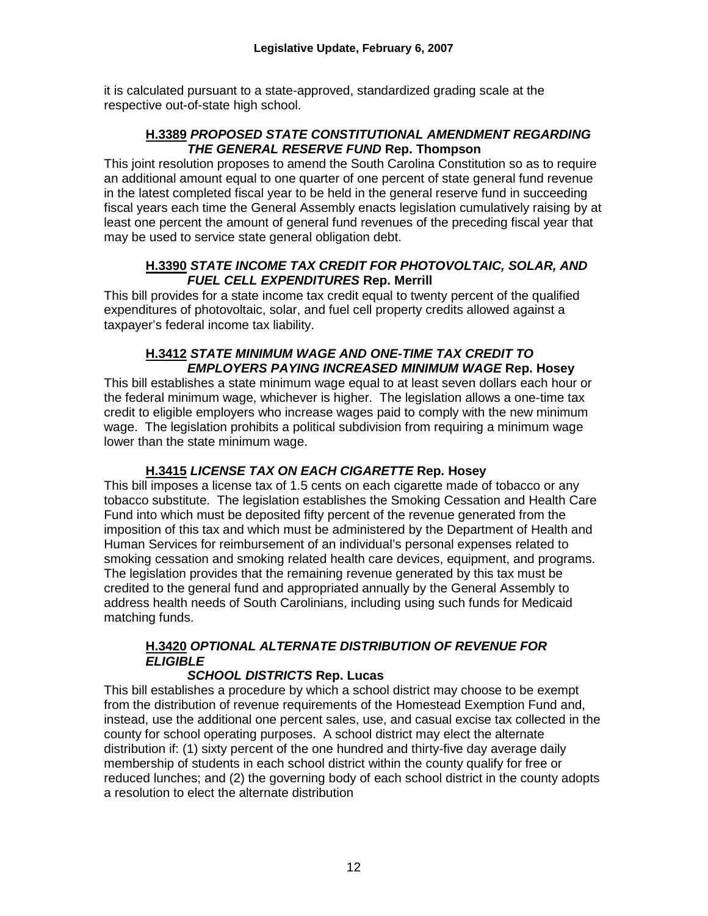it is calculated pursuant to a state-approved, standardized grading scale at the respective out-of-state high school.

### **H.3389** *PROPOSED STATE CONSTITUTIONAL AMENDMENT REGARDING THE GENERAL RESERVE FUND* **Rep. Thompson**

This joint resolution proposes to amend the South Carolina Constitution so as to require an additional amount equal to one quarter of one percent of state general fund revenue in the latest completed fiscal year to be held in the general reserve fund in succeeding fiscal years each time the General Assembly enacts legislation cumulatively raising by at least one percent the amount of general fund revenues of the preceding fiscal year that may be used to service state general obligation debt.

#### **H.3390** *STATE INCOME TAX CREDIT FOR PHOTOVOLTAIC, SOLAR, AND FUEL CELL EXPENDITURES* **Rep. Merrill**

This bill provides for a state income tax credit equal to twenty percent of the qualified expenditures of photovoltaic, solar, and fuel cell property credits allowed against a taxpayer's federal income tax liability.

#### **H.3412** *STATE MINIMUM WAGE AND ONE-TIME TAX CREDIT TO EMPLOYERS PAYING INCREASED MINIMUM WAGE* **Rep. Hosey**

This bill establishes a state minimum wage equal to at least seven dollars each hour or the federal minimum wage, whichever is higher. The legislation allows a one-time tax credit to eligible employers who increase wages paid to comply with the new minimum wage. The legislation prohibits a political subdivision from requiring a minimum wage lower than the state minimum wage.

# **H.3415** *LICENSE TAX ON EACH CIGARETTE* **Rep. Hosey**

This bill imposes a license tax of 1.5 cents on each cigarette made of tobacco or any tobacco substitute. The legislation establishes the Smoking Cessation and Health Care Fund into which must be deposited fifty percent of the revenue generated from the imposition of this tax and which must be administered by the Department of Health and Human Services for reimbursement of an individual's personal expenses related to smoking cessation and smoking related health care devices, equipment, and programs. The legislation provides that the remaining revenue generated by this tax must be credited to the general fund and appropriated annually by the General Assembly to address health needs of South Carolinians, including using such funds for Medicaid matching funds.

# **H.3420** *OPTIONAL ALTERNATE DISTRIBUTION OF REVENUE FOR ELIGIBLE*

# *SCHOOL DISTRICTS* **Rep. Lucas**

This bill establishes a procedure by which a school district may choose to be exempt from the distribution of revenue requirements of the Homestead Exemption Fund and, instead, use the additional one percent sales, use, and casual excise tax collected in the county for school operating purposes. A school district may elect the alternate distribution if: (1) sixty percent of the one hundred and thirty-five day average daily membership of students in each school district within the county qualify for free or reduced lunches; and (2) the governing body of each school district in the county adopts a resolution to elect the alternate distribution